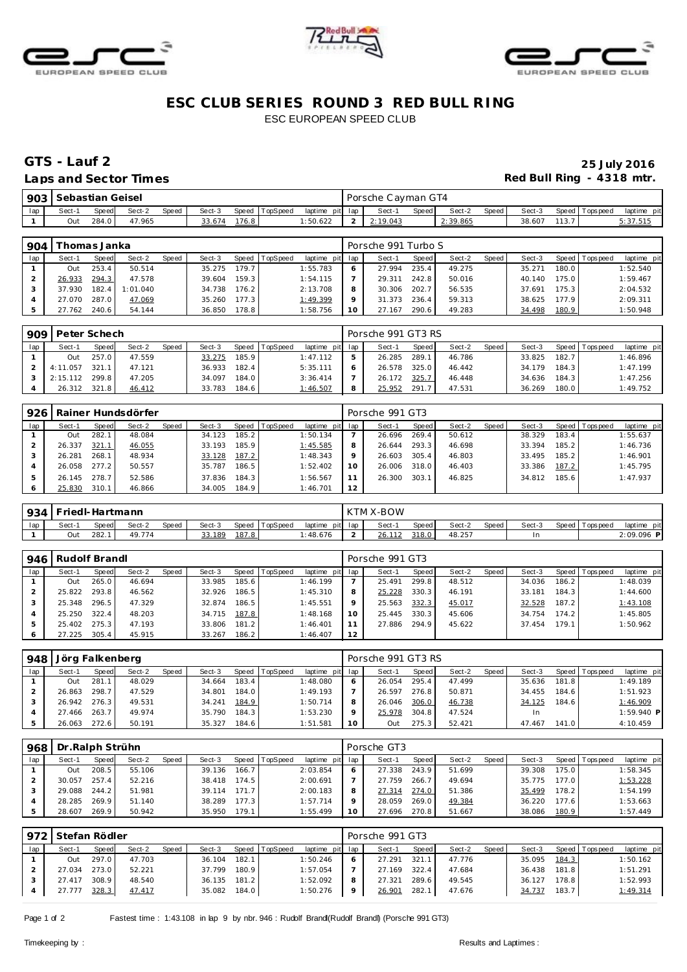





# **ESC CLUB SERIES ROUND 3 RED BULL RING** ESC EUROPEAN SPEED CLUB

## Laps and Sector Times **Red Bull Ring - 4318 mtr.**

# **GTS - Lauf 2 25 July 2016**

| 903 | Sebastian Geisel |       |        |       |        |       |          |                 | Porsche Cayman GT4 |       |          |        |        |       |                   |                |
|-----|------------------|-------|--------|-------|--------|-------|----------|-----------------|--------------------|-------|----------|--------|--------|-------|-------------------|----------------|
| lap | Sect-1           | Speed | Sect-2 | Speed | Sect-3 | Speed | TopSpeed | laptime pit lap | Sect-1             | Speed | Sect-2   | Speed, | Sect-3 |       | Speed   Tops peed | laptime<br>pit |
|     | Out              | 284.0 | 47.965 |       | 33.674 | 176.8 |          | 1:50.622        | 2:19.043           |       | 2:39.865 |        | 38.607 | 113.7 |                   | 5:37.515       |

| 904 | Thomas Janka |       |          |       |        |       |                |                 |         | Porsche 991 Turbo S |       |        |       |        |       |                |             |
|-----|--------------|-------|----------|-------|--------|-------|----------------|-----------------|---------|---------------------|-------|--------|-------|--------|-------|----------------|-------------|
| lap | Sect-1       | Speed | Sect-2   | Speed | Sect-3 |       | Speed TopSpeed | laptime pit lap |         | Sect-1              | Speed | Sect-2 | Speed | Sect-3 |       | Speed Topspeed | laptime pit |
|     | Out          | 253.4 | 50.514   |       | 35.275 | 179.7 |                | 1:55.783        | 6       | 27.994              | 235.4 | 49.275 |       | 35.271 | 180.0 |                | 1:52.540    |
|     | 26.933       | 294.3 | 47.578   |       | 39.604 | 159.3 |                | 1:54.115        |         | 29.311              | 242.8 | 50.016 |       | 40.140 | 175.0 |                | 1:59.467    |
|     | 37.930       | 182.4 | 1:01.040 |       | 34.738 | 176.2 |                | 2:13.708        | 8       | 30.306              | 202.7 | 56.535 |       | 37.691 | 175.3 |                | 2:04.532    |
|     | 27.070       | 287.0 | 47.069   |       | 35.260 | 177.3 |                | 1:49.399        | $\circ$ | 31.373              | 236.4 | 59.313 |       | 38.625 | 177.9 |                | 2:09.311    |
|     | 27.762       | 240.6 | 54.144   |       | 36.850 | 178.8 |                | 1:58.756        | 10      | 27.167              | 290.6 | 49.283 |       | 34.498 | 180.9 |                | 1:50.948    |

| 909 | Peter Schech |       |        |              |        |       |                  |                 | Porsche 991 GT3 RS |       |        |       |        |       |                 |             |
|-----|--------------|-------|--------|--------------|--------|-------|------------------|-----------------|--------------------|-------|--------|-------|--------|-------|-----------------|-------------|
| lap | Sect-1       | Speed | Sect-2 | <b>Speed</b> | Sect-3 |       | Speed   TopSpeed | laptime pit lap | Sect-1             | Speed | Sect-2 | Speed | Sect-3 |       | Speed Tops peed | laptime pit |
|     | Out          | 257.0 | 47.559 |              | 33.275 | 185.9 |                  | 1:47.112        | 26.285             | 289.1 | 46.786 |       | 33.825 | 182.7 |                 | 1:46.896    |
|     | 4:11.057     | 321.  | 47.121 |              | 36.933 | 182.4 |                  | 5:35.111        | 26.578             | 325.0 | 46.442 |       | 34.179 | 184.3 |                 | 1:47.199    |
|     | 2:15.112     | 299.8 | 47.205 |              | 34.097 | 184.0 |                  | 3:36.414        | 26.172             | 325.7 | 46.448 |       | 34.636 | 184.3 |                 | 1:47.256    |
|     | 26.312       | 321.8 | 46.412 |              | 33.783 | 184.6 |                  | 1:46.507        | 25.952             | 291.  | 47.531 |       | 36.269 | 180.0 |                 | 1:49.752    |

| 926 |        |       | Rainer Hundsdörfer |       |        |       |                |                 |    | Porsche 991 GT3 |         |        |       |        |       |                 |             |
|-----|--------|-------|--------------------|-------|--------|-------|----------------|-----------------|----|-----------------|---------|--------|-------|--------|-------|-----------------|-------------|
| lap | Sect-1 | Speed | Sect-2             | Speed | Sect-3 |       | Speed TopSpeed | laptime pit lap |    | Sect-1          | Speed I | Sect-2 | Speed | Sect-3 |       | Speed Tops peed | laptime pit |
|     | Out    | 282.  | 48.084             |       | 34.123 | 185.2 |                | 1:50.134        |    | 26.696          | 269.4   | 50.612 |       | 38.329 | 183.4 |                 | 1:55.637    |
|     | 26.337 | 321.1 | 46.055             |       | 33.193 | 185.9 |                | 1:45.585        | 8  | 26.644          | 293.3   | 46.698 |       | 33.394 | 185.2 |                 | 1:46.736    |
|     | 26.281 | 268.1 | 48.934             |       | 33.128 | 187.2 |                | 1:48.343        |    | 26.603          | 305.4   | 46.803 |       | 33.495 | 185.2 |                 | 1:46.901    |
|     | 26.058 | 277.2 | 50.557             |       | 35.787 | 186.5 |                | 1:52.402        | 10 | 26.006          | 318.0   | 46.403 |       | 33.386 | 187.2 |                 | 1:45.795    |
|     | 26.145 | 278.7 | 52.586             |       | 37.836 | 184.3 |                | 1:56.567        |    | 26.300          | 303.1   | 46.825 |       | 34.812 | 185.6 |                 | 1:47.937    |
|     | 25.830 | 310.1 | 46.866             |       | 34.005 | 184.9 |                | 1:46.701        | 12 |                 |         |        |       |        |       |                 |             |

|     | 934   Friedl-Hartmann |       |        |       |        |        |                |                 | KTM X-BOW |       |        |       |        |                |              |
|-----|-----------------------|-------|--------|-------|--------|--------|----------------|-----------------|-----------|-------|--------|-------|--------|----------------|--------------|
| lap | Sect-                 | Speed | Sect-2 | Speed | Sect-3 |        | Speed TopSpeed | laptime pit lap | Sect-1    | Speed | Sect-2 | Speed | Sect-3 | Speed Topspeed | laptime pit  |
|     | Out                   | 282.  | 49.774 |       | 33.189 | 187.81 |                | : 48.676        | 26.112    | 318.0 | 48.257 |       |        |                | $2:09.096$ P |

| 946 | Rudolf Brandl |       |        |       |        |       |          |                 |         | Porsche 991 GT3 |       |        |       |        |       |                |             |
|-----|---------------|-------|--------|-------|--------|-------|----------|-----------------|---------|-----------------|-------|--------|-------|--------|-------|----------------|-------------|
| lap | Sect-1        | Speed | Sect-2 | Speed | Sect-3 | Speed | TopSpeed | laptime pit lap |         | Sect-1          | Speed | Sect-2 | Speed | Sect-3 |       | Speed Topspeed | laptime pit |
|     | Out           | 265.0 | 46.694 |       | 33.985 | 185.6 |          | 1:46.199        |         | 25.491          | 299.8 | 48.512 |       | 34.036 | 186.2 |                | 1:48.039    |
|     | 25.822        | 293.8 | 46.562 |       | 32.926 | 186.5 |          | 1:45.310        | 8       | 25.228          | 330.3 | 46.191 |       | 33.181 | 184.3 |                | 1:44.600    |
|     | 25.348        | 296.5 | 47.329 |       | 32.874 | 186.5 |          | 1:45.551        | $\circ$ | 25.563          | 332.3 | 45.017 |       | 32.528 | 187.2 |                | 1:43.108    |
|     | 25.250        | 322.4 | 48.203 |       | 34.715 | 187.8 |          | 1:48.168        | 10      | 25.445          | 330.3 | 45.606 |       | 34.754 | 174.2 |                | 1:45.805    |
|     | 25.402        | 275.3 | 47.193 |       | 33.806 | 181.2 |          | 1:46.401        |         | 27.886          | 294.9 | 45.622 |       | 37.454 | 179.1 |                | 1:50.962    |
|     | 27.225        | 305.4 | 45.915 |       | 33.267 | 186.2 |          | 1:46.407        | 12      |                 |       |        |       |        |       |                |             |

| 948 | Jörg Falkenberg |       |        |       |        |       |                |                 |    | Porsche 991 GT3 RS |       |        |       |        |       |                 |              |
|-----|-----------------|-------|--------|-------|--------|-------|----------------|-----------------|----|--------------------|-------|--------|-------|--------|-------|-----------------|--------------|
| lap | Sect-1          | Speed | Sect-2 | Speed | Sect-3 |       | Speed TopSpeed | laptime pit lap |    | Sect-1             | Speed | Sect-2 | Speed | Sect-3 |       | Speed Tops peed | laptime pit  |
|     | Out             | 281   | 48.029 |       | 34.664 | 183.4 |                | 1:48.080        |    | 26.054             | 295.4 | 47.499 |       | 35.636 | 181.8 |                 | 1:49.189     |
|     | 26.863          | 298.7 | 47.529 |       | 34.801 | 184.0 |                | 1:49.193        |    | 26.597             | 276.8 | 50.871 |       | 34.455 | 184.6 |                 | 1:51.923     |
|     | 26.942          | 276.3 | 49.531 |       | 34.241 | 184.9 |                | 1:50.714        |    | 26.046             | 306.0 | 46.738 |       | 34.125 | 184.6 |                 | 1:46.909     |
|     | 27.466          | 263.7 | 49.974 |       | 35.790 | 184.3 |                | 1:53.230        |    | 25.978             | 304.8 | 47.524 |       | In.    |       |                 | $1:59.940$ P |
|     | 26.063          | 272.6 | 50.191 |       | 35.327 | 184.6 |                | 1:51.581        | 10 | Out                | 275.3 | 52.421 |       | 47.467 | 141.0 |                 | 4:10.459     |

| 968 | Dr. Ralph Strühn |       |        |       |        |       |                |             |                 | Porsche GT3 |       |        |              |        |       |          |             |
|-----|------------------|-------|--------|-------|--------|-------|----------------|-------------|-----------------|-------------|-------|--------|--------------|--------|-------|----------|-------------|
| lap | Sect-1           | Speed | Sect-2 | Speed | Sect-3 |       | Speed TopSpeed | laptime pit | lap             | Sect-1      | Speed | Sect-2 | <b>Speed</b> | Sect-3 | Speed | Topspeed | laptime pit |
|     | Out              | 208.5 | 55.106 |       | 39.136 | 166.7 |                | 2:03.854    | <sup>6</sup>    | 27.338      | 243.9 | 51.699 |              | 39.308 | 175.0 |          | 1:58.345    |
|     | 30.057           | 257.4 | 52.216 |       | 38.418 | 174.5 |                | 2:00.691    |                 | 27.759      | 266.7 | 49.694 |              | 35.775 | 177.0 |          | 1:53.228    |
|     | 29.088           | 244.2 | 51.981 |       | 39.114 | 171.7 |                | 2:00.183    | 8               | 27.314      | 274.0 | 51.386 |              | 35.499 | 178.2 |          | 1:54.199    |
|     | 28.285           | 269.9 | 51.140 |       | 38.289 | 177.3 |                | 1:57.714    | $\circ$         | 28.059      | 269.0 | 49.384 |              | 36.220 | 177.6 |          | 1:53.663    |
|     | 28.607           | 269.9 | 50.942 |       | 35.950 | 179.1 |                | 1:55.499    | 10 <sup>°</sup> | 27.696      | 270.8 | 51.667 |              | 38.086 | 180.9 |          | 1:57.449    |

|     | 972 Stefan Rödler |       |        |       |        |       |                |                 | Porsche 991 GT3 |       |        |       |        |       |                 |             |
|-----|-------------------|-------|--------|-------|--------|-------|----------------|-----------------|-----------------|-------|--------|-------|--------|-------|-----------------|-------------|
| lap | Sect-1            | Speed | Sect-2 | Speed | Sect-3 |       | Speed TopSpeed | laptime pit lap | Sect-1          | Speed | Sect-2 | Speed | Sect-3 |       | Speed Tops peed | laptime pit |
|     | Out               | 297.0 | 47.703 |       | 36.104 | 182.1 |                | 1:50.246        | 27.291          | 321.1 | 47.776 |       | 35.095 | 184.3 |                 | 1:50.162    |
|     | 27.034            | 273.0 | 52.221 |       | 37.799 | 180.9 |                | 1:57.054        | 27.169          | 322.4 | 47.684 |       | 36.438 | 181.8 |                 | 1:51.291    |
|     | 27.417            | 308.9 | 48.540 |       | 36.135 | 181.2 |                | 1:52.092        | 27.321          | 289.6 | 49.545 |       | 36.127 | 178.8 |                 | 1:52.993    |
|     | 27.777            | 328.3 | 47.417 |       | 35.082 | 184.0 |                | 1:50.276        | 26.901          | 282.1 | 47.676 |       | 34.737 | 183.7 |                 | 1:49.314    |

Page 1 of 2 Fastest time : 1:43.108 in lap 9 by nbr. 946 : Rudolf Brand(Rudolf Brandl) (Porsche 991 GT3)